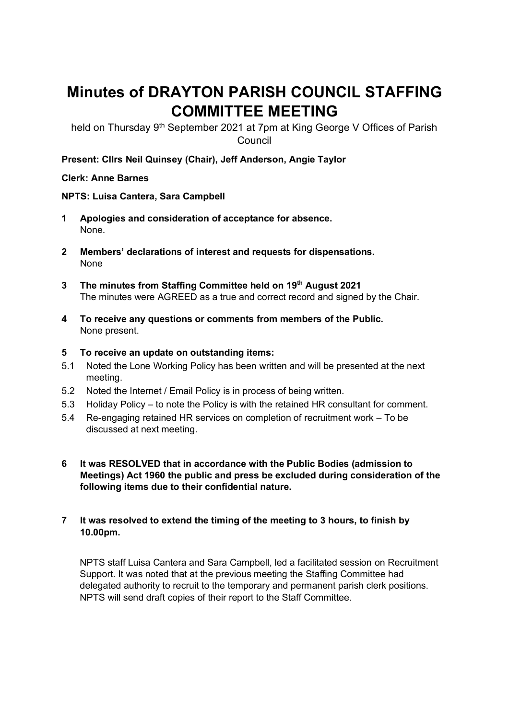# **Minutes of DRAYTON PARISH COUNCIL STAFFING COMMITTEE MEETING**

held on Thursday 9<sup>th</sup> September 2021 at 7pm at King George V Offices of Parish **Council** 

**Present: Cllrs Neil Quinsey (Chair), Jeff Anderson, Angie Taylor**

### **Clerk: Anne Barnes**

### **NPTS: Luisa Cantera, Sara Campbell**

- **1 Apologies and consideration of acceptance for absence.**  None.
- **2 Members' declarations of interest and requests for dispensations.**  None
- **3 The minutes from Staffing Committee held on 19 th August 2021** The minutes were AGREED as a true and correct record and signed by the Chair.
- **4 To receive any questions or comments from members of the Public.**  None present.
- **5 To receive an update on outstanding items:**
- 5.1 Noted the Lone Working Policy has been written and will be presented at the next meeting.
- 5.2 Noted the Internet / Email Policy is in process of being written.
- 5.3 Holiday Policy to note the Policy is with the retained HR consultant for comment.
- 5.4 Re-engaging retained HR services on completion of recruitment work To be discussed at next meeting.
- **6 It was RESOLVED that in accordance with the Public Bodies (admission to Meetings) Act 1960 the public and press be excluded during consideration of the following items due to their confidential nature.**

### **7 It was resolved to extend the timing of the meeting to 3 hours, to finish by 10.00pm.**

NPTS staff Luisa Cantera and Sara Campbell, led a facilitated session on Recruitment Support. It was noted that at the previous meeting the Staffing Committee had delegated authority to recruit to the temporary and permanent parish clerk positions. NPTS will send draft copies of their report to the Staff Committee.